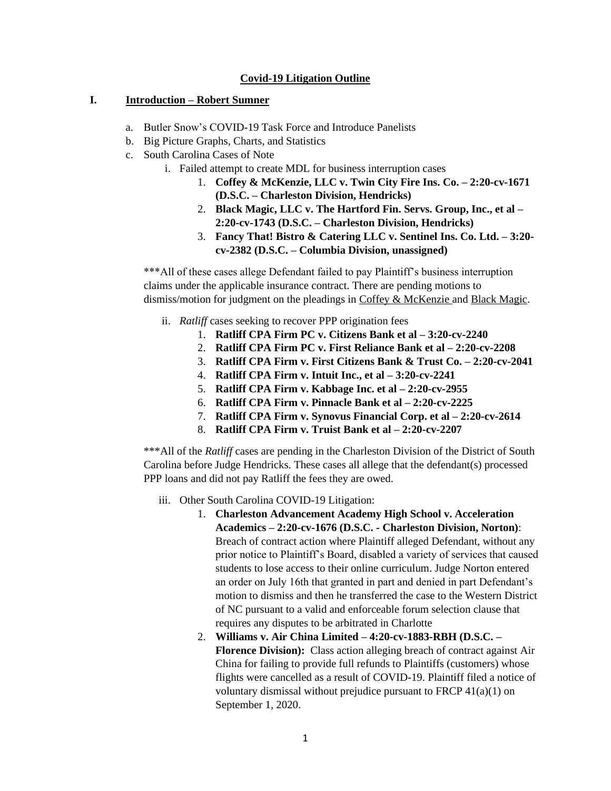#### **Covid-19 Litigation Outline**

#### **I. Introduction – Robert Sumner**

- a. Butler Snow's COVID-19 Task Force and Introduce Panelists
- b. Big Picture Graphs, Charts, and Statistics
- c. South Carolina Cases of Note
	- i. Failed attempt to create MDL for business interruption cases
		- 1. **Coffey & McKenzie, LLC v. Twin City Fire Ins. Co. – 2:20-cv-1671 (D.S.C. – Charleston Division, Hendricks)**
		- 2. **Black Magic, LLC v. The Hartford Fin. Servs. Group, Inc., et al – 2:20-cv-1743 (D.S.C. – Charleston Division, Hendricks)**
		- 3. **Fancy That! Bistro & Catering LLC v. Sentinel Ins. Co. Ltd. – 3:20 cv-2382 (D.S.C. – Columbia Division, unassigned)**

\*\*\*All of these cases allege Defendant failed to pay Plaintiff's business interruption claims under the applicable insurance contract. There are pending motions to dismiss/motion for judgment on the pleadings in Coffey & McKenzie and Black Magic.

- ii. *Ratliff* cases seeking to recover PPP origination fees
	- 1. **Ratliff CPA Firm PC v. Citizens Bank et al – 3:20-cv-2240**
	- 2. **Ratliff CPA Firm PC v. First Reliance Bank et al – 2:20-cv-2208**
	- 3. **Ratliff CPA Firm v. First Citizens Bank & Trust Co. – 2:20-cv-2041**
	- 4. **Ratliff CPA Firm v. Intuit Inc., et al – 3:20-cv-2241**
	- 5. **Ratliff CPA Firm v. Kabbage Inc. et al – 2:20-cv-2955**
	- 6. **Ratliff CPA Firm v. Pinnacle Bank et al – 2:20-cv-2225**
	- 7. **Ratliff CPA Firm v. Synovus Financial Corp. et al – 2:20-cv-2614**
	- 8. **Ratliff CPA Firm v. Truist Bank et al – 2:20-cv-2207**

\*\*\*All of the *Ratliff* cases are pending in the Charleston Division of the District of South Carolina before Judge Hendricks. These cases all allege that the defendant(s) processed PPP loans and did not pay Ratliff the fees they are owed.

- iii. Other South Carolina COVID-19 Litigation:
	- 1. **Charleston Advancement Academy High School v. Acceleration Academics – 2:20-cv-1676 (D.S.C. - Charleston Division, Norton)**: Breach of contract action where Plaintiff alleged Defendant, without any prior notice to Plaintiff's Board, disabled a variety of services that caused students to lose access to their online curriculum. Judge Norton entered an order on July 16th that granted in part and denied in part Defendant's motion to dismiss and then he transferred the case to the Western District of NC pursuant to a valid and enforceable forum selection clause that requires any disputes to be arbitrated in Charlotte

2. **Williams v. Air China Limited – 4:20-cv-1883-RBH (D.S.C. – Florence Division):** Class action alleging breach of contract against Air China for failing to provide full refunds to Plaintiffs (customers) whose flights were cancelled as a result of COVID-19. Plaintiff filed a notice of voluntary dismissal without prejudice pursuant to FRCP 41(a)(1) on September 1, 2020.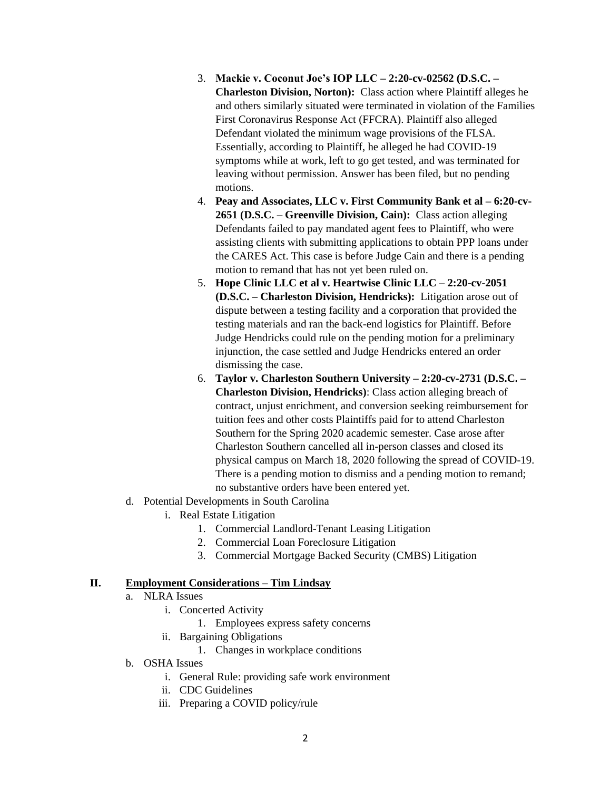- 3. **Mackie v. Coconut Joe's IOP LLC – 2:20-cv-02562 (D.S.C. – Charleston Division, Norton):** Class action where Plaintiff alleges he and others similarly situated were terminated in violation of the Families First Coronavirus Response Act (FFCRA). Plaintiff also alleged Defendant violated the minimum wage provisions of the FLSA. Essentially, according to Plaintiff, he alleged he had COVID-19 symptoms while at work, left to go get tested, and was terminated for leaving without permission. Answer has been filed, but no pending motions.
- 4. **Peay and Associates, LLC v. First Community Bank et al – 6:20-cv-2651 (D.S.C. – Greenville Division, Cain):** Class action alleging Defendants failed to pay mandated agent fees to Plaintiff, who were assisting clients with submitting applications to obtain PPP loans under the CARES Act. This case is before Judge Cain and there is a pending motion to remand that has not yet been ruled on.
- 5. **Hope Clinic LLC et al v. Heartwise Clinic LLC – 2:20-cv-2051 (D.S.C. – Charleston Division, Hendricks):** Litigation arose out of dispute between a testing facility and a corporation that provided the testing materials and ran the back-end logistics for Plaintiff. Before Judge Hendricks could rule on the pending motion for a preliminary injunction, the case settled and Judge Hendricks entered an order dismissing the case.
- 6. **Taylor v. Charleston Southern University – 2:20-cv-2731 (D.S.C. – Charleston Division, Hendricks)**: Class action alleging breach of contract, unjust enrichment, and conversion seeking reimbursement for tuition fees and other costs Plaintiffs paid for to attend Charleston Southern for the Spring 2020 academic semester. Case arose after Charleston Southern cancelled all in-person classes and closed its physical campus on March 18, 2020 following the spread of COVID-19. There is a pending motion to dismiss and a pending motion to remand; no substantive orders have been entered yet.
- d. Potential Developments in South Carolina
	- i. Real Estate Litigation
		- 1. Commercial Landlord-Tenant Leasing Litigation
		- 2. Commercial Loan Foreclosure Litigation
		- 3. Commercial Mortgage Backed Security (CMBS) Litigation

# **II. Employment Considerations – Tim Lindsay**

- a. NLRA Issues
	- i. Concerted Activity
		- 1. Employees express safety concerns
	- ii. Bargaining Obligations
		- 1. Changes in workplace conditions
- b. OSHA Issues
	- i. General Rule: providing safe work environment
	- ii. CDC Guidelines
	- iii. Preparing a COVID policy/rule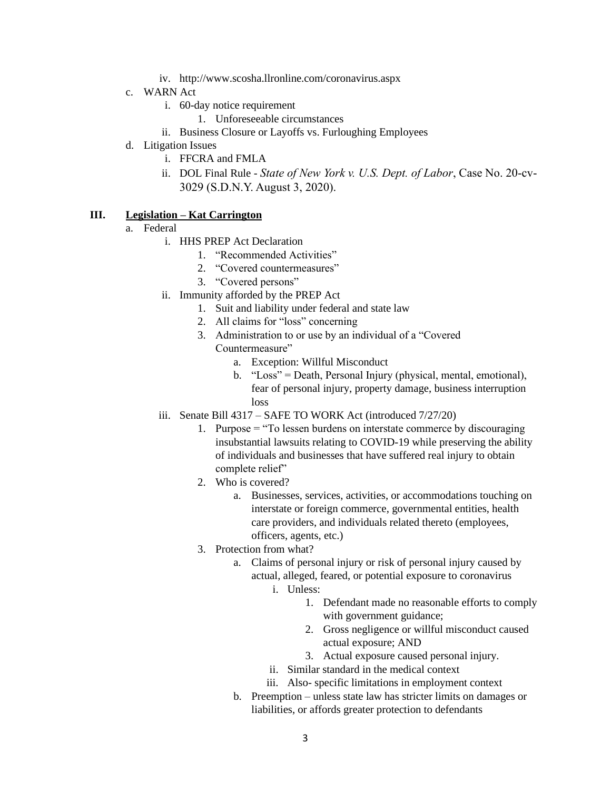- iv. http://www.scosha.llronline.com/coronavirus.aspx
- c. WARN Act
	- i. 60-day notice requirement
		- 1. Unforeseeable circumstances
	- ii. Business Closure or Layoffs vs. Furloughing Employees
- d. Litigation Issues
	- i. FFCRA and FMLA
	- ii. DOL Final Rule *State of New York v. U.S. Dept. of Labor*, Case No. 20-cv-3029 (S.D.N.Y. August 3, 2020).

# **III. Legislation – Kat Carrington**

- a. Federal
	- i. HHS PREP Act Declaration
		- 1. "Recommended Activities"
		- 2. "Covered countermeasures"
		- 3. "Covered persons"
	- ii. Immunity afforded by the PREP Act
		- 1. Suit and liability under federal and state law
		- 2. All claims for "loss" concerning
		- 3. Administration to or use by an individual of a "Covered Countermeasure"
			- a. Exception: Willful Misconduct
			- b. "Loss" = Death, Personal Injury (physical, mental, emotional), fear of personal injury, property damage, business interruption loss
	- iii. Senate Bill 4317 SAFE TO WORK Act (introduced 7/27/20)
		- 1. Purpose = "To lessen burdens on interstate commerce by discouraging insubstantial lawsuits relating to COVID-19 while preserving the ability of individuals and businesses that have suffered real injury to obtain complete relief"
		- 2. Who is covered?
			- a. Businesses, services, activities, or accommodations touching on interstate or foreign commerce, governmental entities, health care providers, and individuals related thereto (employees, officers, agents, etc.)
		- 3. Protection from what?
			- a. Claims of personal injury or risk of personal injury caused by actual, alleged, feared, or potential exposure to coronavirus i. Unless:
				- - 1. Defendant made no reasonable efforts to comply with government guidance;
					- 2. Gross negligence or willful misconduct caused actual exposure; AND
					- 3. Actual exposure caused personal injury.
				- ii. Similar standard in the medical context
				- iii. Also- specific limitations in employment context
			- b. Preemption unless state law has stricter limits on damages or liabilities, or affords greater protection to defendants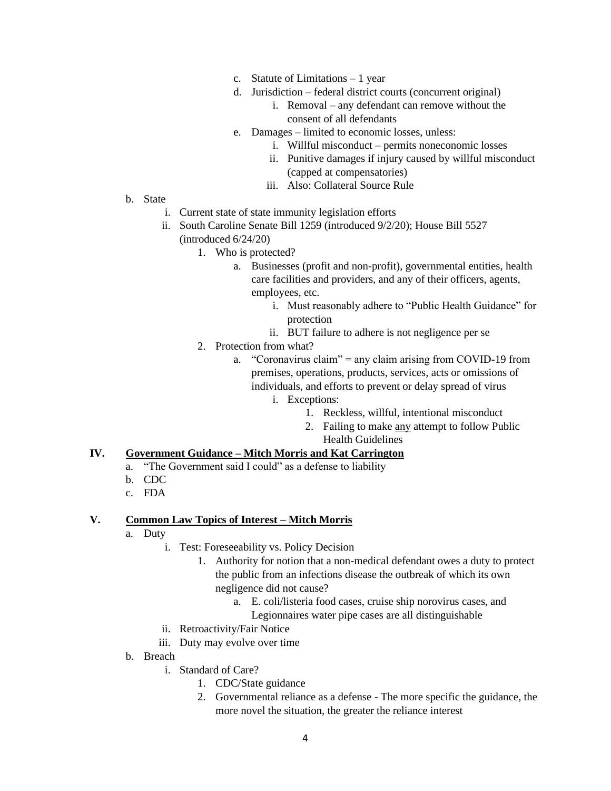- c. Statute of Limitations 1 year
- d. Jurisdiction federal district courts (concurrent original)
	- i. Removal any defendant can remove without the consent of all defendants
- e. Damages limited to economic losses, unless:
	- i. Willful misconduct permits noneconomic losses
	- ii. Punitive damages if injury caused by willful misconduct (capped at compensatories)
	- iii. Also: Collateral Source Rule

- b. State
	- i. Current state of state immunity legislation efforts
	- ii. South Caroline Senate Bill 1259 (introduced 9/2/20); House Bill 5527 (introduced 6/24/20)
		- 1. Who is protected?
			- a. Businesses (profit and non-profit), governmental entities, health care facilities and providers, and any of their officers, agents, employees, etc.
				- i. Must reasonably adhere to "Public Health Guidance" for protection
				- ii. BUT failure to adhere is not negligence per se
		- 2. Protection from what?
			- a. "Coronavirus claim" = any claim arising from COVID-19 from premises, operations, products, services, acts or omissions of individuals, and efforts to prevent or delay spread of virus
				- i. Exceptions:
					- 1. Reckless, willful, intentional misconduct
					- 2. Failing to make any attempt to follow Public Health Guidelines

## **IV. Government Guidance – Mitch Morris and Kat Carrington**

- a. "The Government said I could" as a defense to liability
- b. CDC
- c. FDA

#### **V. Common Law Topics of Interest – Mitch Morris**

- a. Duty
	- i. Test: Foreseeability vs. Policy Decision
		- 1. Authority for notion that a non-medical defendant owes a duty to protect the public from an infections disease the outbreak of which its own negligence did not cause?
			- a. E. coli/listeria food cases, cruise ship norovirus cases, and Legionnaires water pipe cases are all distinguishable
	- ii. Retroactivity/Fair Notice
	- iii. Duty may evolve over time
- b. Breach
	- i. Standard of Care?
		- 1. CDC/State guidance
		- 2. Governmental reliance as a defense The more specific the guidance, the more novel the situation, the greater the reliance interest